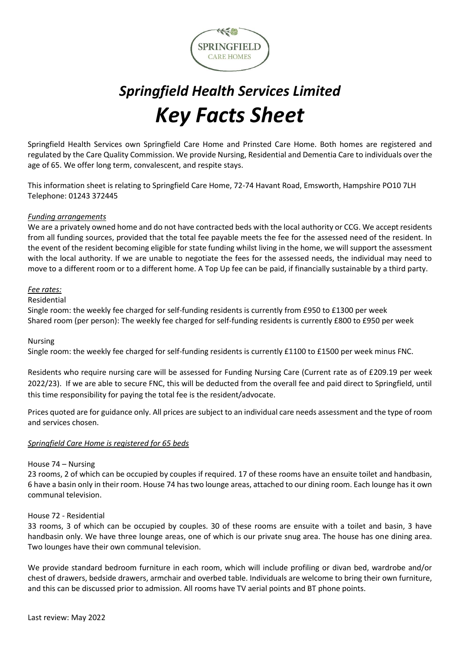

# *Springfield Health Services Limited Key Facts Sheet*

Springfield Health Services own Springfield Care Home and Prinsted Care Home. Both homes are registered and regulated by the Care Quality Commission. We provide Nursing, Residential and Dementia Care to individuals over the age of 65. We offer long term, convalescent, and respite stays.

This information sheet is relating to Springfield Care Home, 72-74 Havant Road, Emsworth, Hampshire PO10 7LH Telephone: 01243 372445

## *Funding arrangements*

We are a privately owned home and do not have contracted beds with the local authority or CCG. We accept residents from all funding sources, provided that the total fee payable meets the fee for the assessed need of the resident. In the event of the resident becoming eligible for state funding whilst living in the home, we will support the assessment with the local authority. If we are unable to negotiate the fees for the assessed needs, the individual may need to move to a different room or to a different home. A Top Up fee can be paid, if financially sustainable by a third party.

## *Fee rates:*

#### Residential

Single room: the weekly fee charged for self-funding residents is currently from £950 to £1300 per week Shared room (per person): The weekly fee charged for self-funding residents is currently £800 to £950 per week

## Nursing

Single room: the weekly fee charged for self-funding residents is currently £1100 to £1500 per week minus FNC.

Residents who require nursing care will be assessed for Funding Nursing Care (Current rate as of £209.19 per week 2022/23). If we are able to secure FNC, this will be deducted from the overall fee and paid direct to Springfield, until this time responsibility for paying the total fee is the resident/advocate.

Prices quoted are for guidance only. All prices are subject to an individual care needs assessment and the type of room and services chosen.

## *Springfield Care Home is registered for 65 beds*

## House 74 – Nursing

23 rooms, 2 of which can be occupied by couples if required. 17 of these rooms have an ensuite toilet and handbasin, 6 have a basin only in their room. House 74 has two lounge areas, attached to our dining room. Each lounge has it own communal television.

## House 72 - Residential

33 rooms, 3 of which can be occupied by couples. 30 of these rooms are ensuite with a toilet and basin, 3 have handbasin only. We have three lounge areas, one of which is our private snug area. The house has one dining area. Two lounges have their own communal television.

We provide standard bedroom furniture in each room, which will include profiling or divan bed, wardrobe and/or chest of drawers, bedside drawers, armchair and overbed table. Individuals are welcome to bring their own furniture, and this can be discussed prior to admission. All rooms have TV aerial points and BT phone points.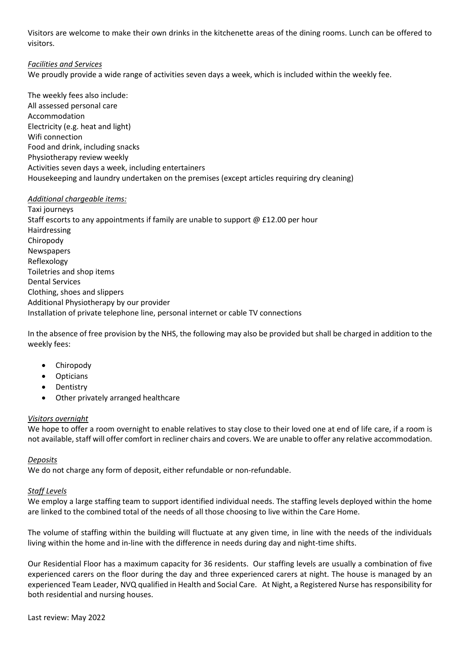Visitors are welcome to make their own drinks in the kitchenette areas of the dining rooms. Lunch can be offered to visitors.

## *Facilities and Services*

We proudly provide a wide range of activities seven days a week, which is included within the weekly fee.

The weekly fees also include: All assessed personal care Accommodation Electricity (e.g. heat and light) Wifi connection Food and drink, including snacks Physiotherapy review weekly Activities seven days a week, including entertainers Housekeeping and laundry undertaken on the premises (except articles requiring dry cleaning)

## *Additional chargeable items:*

Taxi journeys Staff escorts to any appointments if family are unable to support @ £12.00 per hour Hairdressing Chiropody Newspapers Reflexology Toiletries and shop items Dental Services Clothing, shoes and slippers Additional Physiotherapy by our provider Installation of private telephone line, personal internet or cable TV connections

In the absence of free provision by the NHS, the following may also be provided but shall be charged in addition to the weekly fees:

- Chiropody
- Opticians
- Dentistry
- Other privately arranged healthcare

# *Visitors overnight*

We hope to offer a room overnight to enable relatives to stay close to their loved one at end of life care, if a room is not available, staff will offer comfort in recliner chairs and covers. We are unable to offer any relative accommodation.

# *Deposits*

We do not charge any form of deposit, either refundable or non-refundable.

## *Staff Levels*

We employ a large staffing team to support identified individual needs. The staffing levels deployed within the home are linked to the combined total of the needs of all those choosing to live within the Care Home.

The volume of staffing within the building will fluctuate at any given time, in line with the needs of the individuals living within the home and in-line with the difference in needs during day and night-time shifts.

Our Residential Floor has a maximum capacity for 36 residents. Our staffing levels are usually a combination of five experienced carers on the floor during the day and three experienced carers at night. The house is managed by an experienced Team Leader, NVQ qualified in Health and Social Care. At Night, a Registered Nurse has responsibility for both residential and nursing houses.